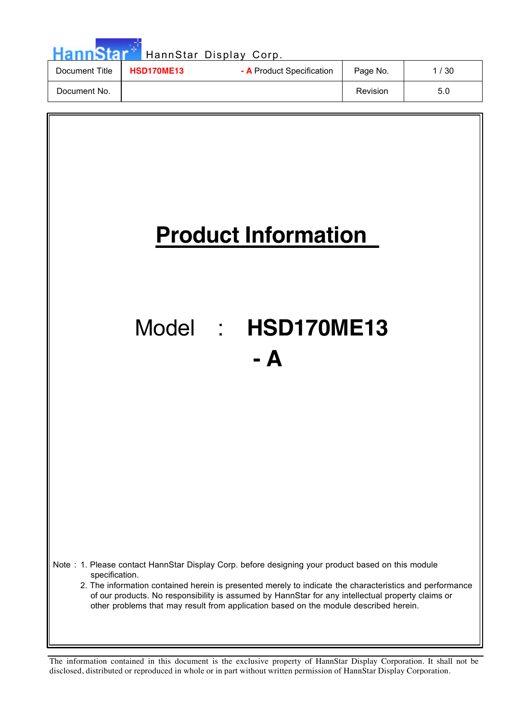| <b>HannStar</b> |                                                | HannStar Display Corp. |          |      |
|-----------------|------------------------------------------------|------------------------|----------|------|
| Document Title  | - A Product Specification<br><b>HSD170ME13</b> |                        | Page No. | 1/30 |
| Document No.    |                                                |                        | Revision | 5.0  |

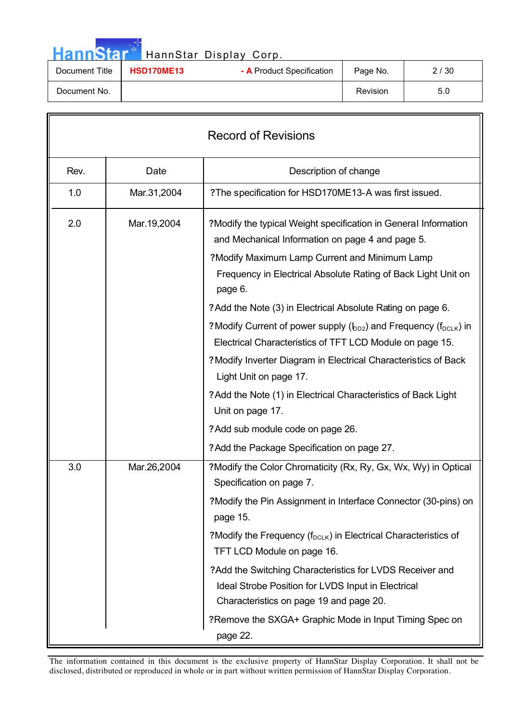| <b>HannStar</b> |                   | HannStar Display Corp.    |          |      |
|-----------------|-------------------|---------------------------|----------|------|
| Document Title  | <b>HSD170ME13</b> | - A Product Specification | Page No. | 2/30 |
| Document No.    |                   |                           | Revision | 5.0  |

— 11 m

| <b>Record of Revisions</b> |             |                                                                                                                                                                                                                                                                                                                                                                                                                                                                                                                                                                       |  |  |  |
|----------------------------|-------------|-----------------------------------------------------------------------------------------------------------------------------------------------------------------------------------------------------------------------------------------------------------------------------------------------------------------------------------------------------------------------------------------------------------------------------------------------------------------------------------------------------------------------------------------------------------------------|--|--|--|
| Rev.                       | Date        | Description of change                                                                                                                                                                                                                                                                                                                                                                                                                                                                                                                                                 |  |  |  |
| 1.0                        | Mar.31,2004 | ?The specification for HSD170ME13-A was first issued.                                                                                                                                                                                                                                                                                                                                                                                                                                                                                                                 |  |  |  |
| 2.0                        | Mar.19,2004 | ?Modify the typical Weight specification in General Information<br>and Mechanical Information on page 4 and page 5.<br>?Modify Maximum Lamp Current and Minimum Lamp<br>Frequency in Electrical Absolute Rating of Back Light Unit on<br>page 6.<br>? Add the Note (3) in Electrical Absolute Rating on page 6.<br>? Modify Current of power supply (b <sub>D2</sub> ) and Frequency (f <sub>DCLK</sub> ) in<br>Electrical Characteristics of TFT LCD Module on page 15.<br>? Modify Inverter Diagram in Electrical Characteristics of Back<br>Light Unit on page 17. |  |  |  |
|                            |             | ? Add the Note (1) in Electrical Characteristics of Back Light<br>Unit on page 17.<br>? Add sub module code on page 26.                                                                                                                                                                                                                                                                                                                                                                                                                                               |  |  |  |
| 3.0                        | Mar.26,2004 | ? Add the Package Specification on page 27.<br>?Modify the Color Chromaticity (Rx, Ry, Gx, Wx, Wy) in Optical<br>Specification on page 7.<br>?Modify the Pin Assignment in Interface Connector (30-pins) on<br>page 15.<br>? Modify the Frequency ( $f_{DCLK}$ ) in Electrical Characteristics of<br>TFT LCD Module on page 16.<br>? Add the Switching Characteristics for LVDS Receiver and<br>Ideal Strobe Position for LVDS Input in Electrical<br>Characteristics on page 19 and page 20.<br>?Remove the SXGA+ Graphic Mode in Input Timing Spec on<br>page 22.   |  |  |  |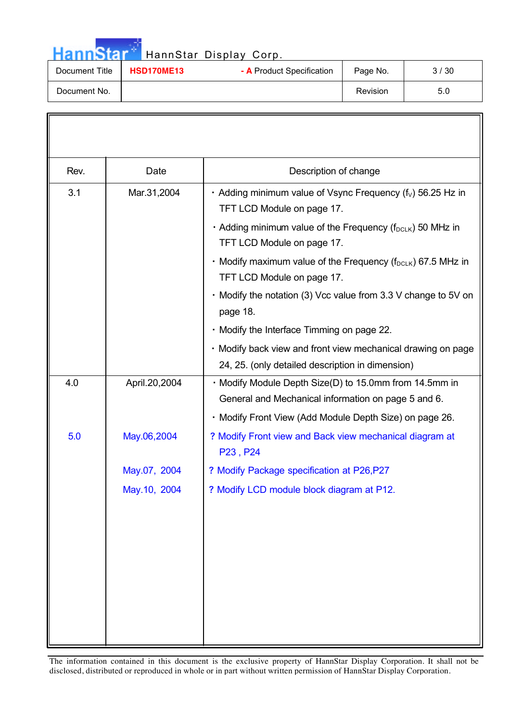| <b>HannStar</b> |                   | HannStar Display Corp.    |          |      |
|-----------------|-------------------|---------------------------|----------|------|
| Document Title  | <b>HSD170ME13</b> | - A Product Specification | Page No. | 3/30 |
| Document No.    |                   |                           | Revision | 5.0  |

| Rev. | Date          | Description of change                                                                                                                                                    |
|------|---------------|--------------------------------------------------------------------------------------------------------------------------------------------------------------------------|
| 3.1  | Mar.31,2004   | • Adding minimum value of Vsync Frequency ( $f_v$ ) 56.25 Hz in<br>TFT LCD Module on page 17.<br>• Adding minimum value of the Frequency (f <sub>DCLK</sub> ) 50 MHz in  |
|      |               | TFT LCD Module on page 17.<br>• Modify maximum value of the Frequency (f <sub>DCLK</sub> ) 67.5 MHz in<br>TFT LCD Module on page 17.                                     |
|      |               | • Modify the notation (3) Vcc value from 3.3 V change to 5V on<br>page 18.                                                                                               |
|      |               | · Modify the Interface Timming on page 22.                                                                                                                               |
|      |               | · Modify back view and front view mechanical drawing on page<br>24, 25. (only detailed description in dimension)                                                         |
| 4.0  | April.20,2004 | · Modify Module Depth Size(D) to 15.0mm from 14.5mm in<br>General and Mechanical information on page 5 and 6.<br>· Modify Front View (Add Module Depth Size) on page 26. |
| 5.0  | May.06,2004   | ? Modify Front view and Back view mechanical diagram at<br>P23, P24                                                                                                      |
|      | May.07, 2004  | ? Modify Package specification at P26, P27                                                                                                                               |
|      | May.10, 2004  | ? Modify LCD module block diagram at P12.                                                                                                                                |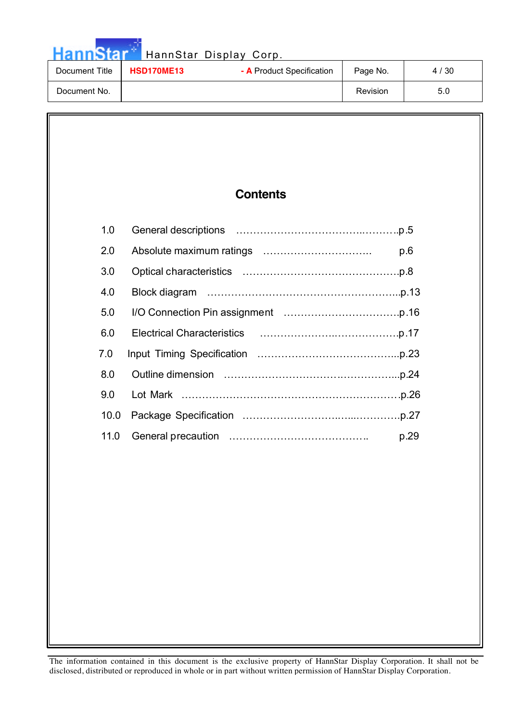Hann Star<sup>at</sup> HannStar Display Corp.

| Document Title | <b>HSD170ME13</b> | - A Product Specification | Page No. | 4 / 30 |
|----------------|-------------------|---------------------------|----------|--------|
| Document No.   |                   |                           | Revision | 5.U    |

# **Contents**

| 1.0              |      |
|------------------|------|
| 2.0              | p.6  |
| 3.0              |      |
| 4.0              |      |
| 5.0              |      |
| 6.0              |      |
| 7.0              |      |
| 8.0              |      |
| 9.0 <sub>1</sub> |      |
| 10.0             |      |
| 11.0             | p.29 |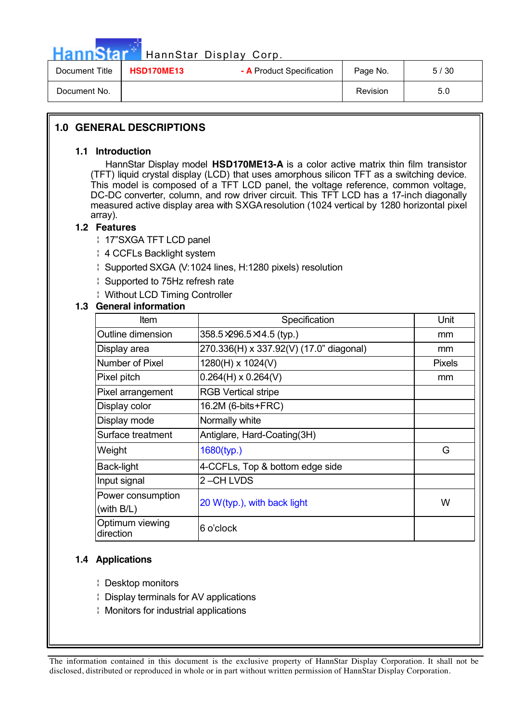HannStar<sup>d</sup> HannStar Display Corp.

| Document Title | HSD170ME13 | - A Product Specification | Page No. | 5/30 |
|----------------|------------|---------------------------|----------|------|
| Document No.   |            |                           | Revision | 5.0  |

### **1.0 GENERAL DESCRIPTIONS**

#### **1.1 Introduction**

 HannStar Display model **HSD170ME13-A** is a color active matrix thin film transistor (TFT) liquid crystal display (LCD) that uses amorphous silicon TFT as a switching device. This model is composed of a TFT LCD panel, the voltage reference, common voltage, DC-DC converter, column, and row driver circuit. This TFT LCD has a 17-inch diagonally measured active display area with SXGA resolution (1024 vertical by 1280 horizontal pixel array).

### **1.2 Features**

¦ 17"SXGA TFT LCD panel

- ¦ 4 CCFLs Backlight system
- ¦ Supported SXGA (V:1024 lines, H:1280 pixels) resolution
- ¦ Supported to 75Hz refresh rate
- ¦ Without LCD Timing Controller

### **1.3 General information**

| <b>Item</b>                  | Specification                           | Unit          |
|------------------------------|-----------------------------------------|---------------|
| Outline dimension            | 358.5 × 296.5 × 14.5 (typ.)             | mm            |
| Display area                 | 270.336(H) x 337.92(V) (17.0" diagonal) | mm            |
| Number of Pixel              | 1280(H) x 1024(V)                       | <b>Pixels</b> |
| Pixel pitch                  | $0.264(H) \times 0.264(V)$              | mm            |
| Pixel arrangement            | <b>RGB Vertical stripe</b>              |               |
| Display color                | 16.2M (6-bits+FRC)                      |               |
| Display mode                 | Normally white                          |               |
| Surface treatment            | Antiglare, Hard-Coating(3H)             |               |
| Weight                       | $1680$ (typ.)                           | G             |
| Back-light                   | 4-CCFLs, Top & bottom edge side         |               |
| Input signal                 | 2-CH LVDS                               |               |
| Power consumption            |                                         |               |
| (with B/L)                   | 20 W(typ.), with back light             | W             |
| Optimum viewing<br>direction | 6 o'clock                               |               |

#### **1.4 Applications**

- ¦ Desktop monitors
- ¦ Display terminals for AV applications
- ¦ Monitors for industrial applications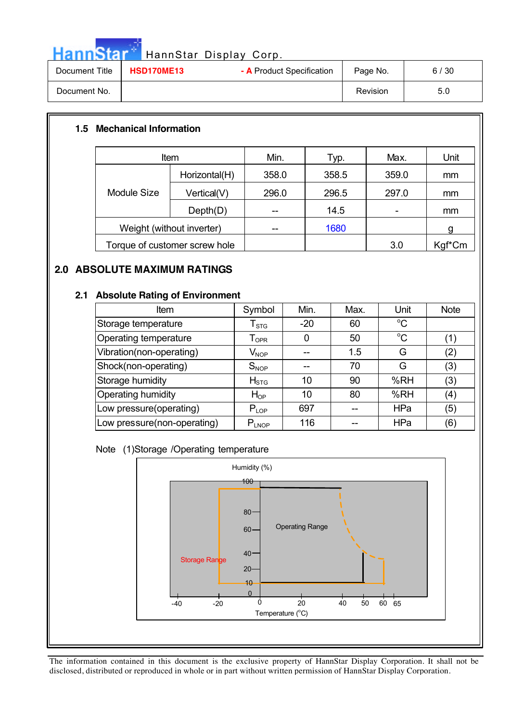| HannStar <sup>**</sup> |                   | HannStar Display Corp.    |          |      |
|------------------------|-------------------|---------------------------|----------|------|
| Document Title         | <b>HSD170ME13</b> | - A Product Specification | Page No. | 6/30 |
| Document No.           |                   |                           | Revision | 5.0  |

### **1.5 Mechanical Information**

. 구

|                           | Item                          | Min.  | Typ.  | Max.  | Unit   |
|---------------------------|-------------------------------|-------|-------|-------|--------|
|                           | Horizontal(H)                 | 358.0 | 358.5 | 359.0 | mm     |
| Module Size               | Vertical(V)                   | 296.0 | 296.5 | 297.0 | mm     |
|                           | Depth(D)                      |       | 14.5  |       | mm     |
| Weight (without inverter) |                               | --    | 1680  |       | g      |
|                           | Torque of customer screw hole |       |       | 3.0   | Kgf*Cm |

### **2.0 ABSOLUTE MAXIMUM RATINGS**

### **2.1 Absolute Rating of Environment**

| Item                        | Symbol                       | Min.  | Max. | Unit        | <b>Note</b>   |
|-----------------------------|------------------------------|-------|------|-------------|---------------|
| Storage temperature         | $I_{\,STG}$                  | $-20$ | 60   | $^{\circ}C$ |               |
| Operating temperature       | ${\mathsf T}_{\textsf{OPR}}$ | 0     | 50   | $^{\circ}C$ |               |
| Vibration(non-operating)    | $V_{\mathsf{NOP}}$           |       | 1.5  | G           | $\binom{2}{}$ |
| Shock(non-operating)        | $S_{NOP}$                    |       | 70   | G           | (3)           |
| Storage humidity            | $H_{STG}$                    | 10    | 90   | %RH         | (3)           |
| Operating humidity          | $H_{OP}$                     | 10    | 80   | %RH         | (4)           |
| Low pressure(operating)     | $P_{LOP}$                    | 697   |      | <b>HPa</b>  | (5)           |
| Low pressure(non-operating) | $P_{LNOP}$                   | 116   |      | HPa         | (6)           |

### Note (1)Storage /Operating temperature

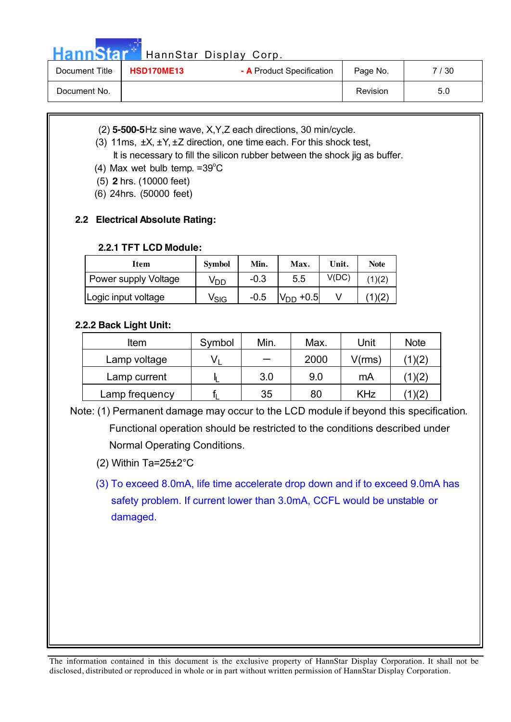Hann Star<sup>t HannStar</sup> Display Corp.

| Document Title | <b>HSD170ME13</b> | - A Product Specification | Page No.        | /30 |
|----------------|-------------------|---------------------------|-----------------|-----|
| Document No.   |                   |                           | <b>Revision</b> | 5.0 |

- (2) **5-500-5**Hz sine wave, X,Y,Z each directions, 30 min/cycle.
- (3) 11ms, ±X, ±Y, ±Z direction, one time each. For this shock test,

It is necessary to fill the silicon rubber between the shock jig as buffer.

- (4) Max wet bulb temp.  $=39^{\circ}$ C
	- (5) **2** hrs. (10000 feet)
	- (6) 24hrs. (50000 feet)

### **2.2 Electrical Absolute Rating:**

### **2.2.1 TFT LCD Module:**

| Item                 | <b>Symbol</b> | Min.   | Max.   | Unit. | <b>Note</b> |
|----------------------|---------------|--------|--------|-------|-------------|
| Power supply Voltage | VDD           | $-0.3$ | 5.5    | V(DC) |             |
| Logic input voltage  | Vsig          | $-0.5$ | $+0.5$ |       |             |

### **2.2.2 Back Light Unit:**

| Item           | Symbol | Min. | Max. | Unit       | <b>Note</b> |
|----------------|--------|------|------|------------|-------------|
| Lamp voltage   |        |      | 2000 | V(rms)     | 1)(2)       |
| Lamp current   |        | 3.0  | 9.0  | mA         | 1)(2)       |
| Lamp frequency |        | 35   | 80   | <b>KHz</b> |             |

Note: (1) Permanent damage may occur to the LCD module if beyond this specification.

Functional operation should be restricted to the conditions described under Normal Operating Conditions.

- (2) Within Ta=25±2°C
- (3) To exceed 8.0mA, life time accelerate drop down and if to exceed 9.0mA has safety problem. If current lower than 3.0mA, CCFL would be unstable or damaged.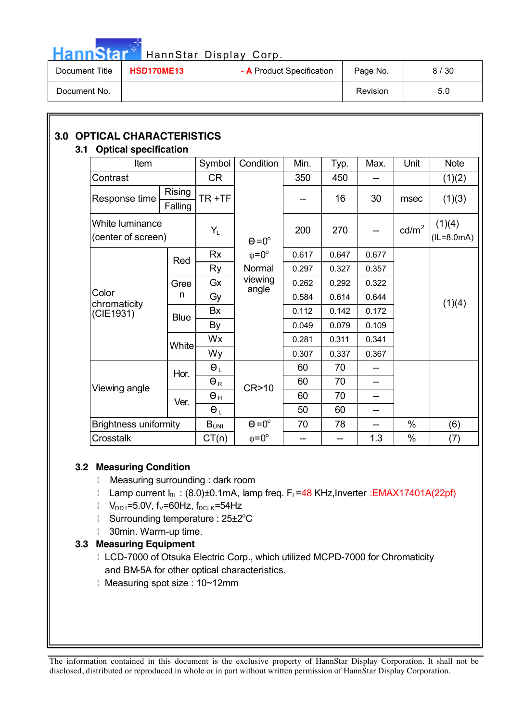| <b>Hann Star</b> |  |  |  |  |
|------------------|--|--|--|--|
|                  |  |  |  |  |
|                  |  |  |  |  |

## HannStar Display Corp.

| Document Title | <b>HSD170ME13</b> | - A Product Specification | Page No. | 8/30 |
|----------------|-------------------|---------------------------|----------|------|
| Document No.   |                   |                           | Revision | 5.0  |

# **3.0 OPTICAL CHARACTERISTICS**

# **3.1 Optical specification**

| Optical specification                 |                          |                       |                    |       |       |       |                 |                        |        |
|---------------------------------------|--------------------------|-----------------------|--------------------|-------|-------|-------|-----------------|------------------------|--------|
| Item                                  |                          | Symbol                | Condition          | Min.  | Typ.  | Max.  | Unit            | <b>Note</b>            |        |
| Contrast                              |                          | CR                    |                    | 350   | 450   | --    |                 | (1)(2)                 |        |
| Response time                         | <b>Rising</b><br>Falling | TR+TF                 |                    |       | --    | 16    | 30              | msec                   | (1)(3) |
| White luminance<br>(center of screen) |                          | $Y_L$                 | $\Theta = 0^\circ$ | 200   | 270   | --    | $\text{cd/m}^2$ | (1)(4)<br>$(IL=8.0mA)$ |        |
|                                       | Red                      | <b>Rx</b>             | $\phi = 0^{\circ}$ | 0.617 | 0.647 | 0.677 |                 |                        |        |
|                                       |                          | Ry                    | Normal             | 0.297 | 0.327 | 0.357 |                 |                        |        |
|                                       | Gree                     | Gx                    | viewing<br>angle   | 0.262 | 0.292 | 0.322 |                 |                        |        |
| Color                                 | n                        | Gy                    |                    | 0.584 | 0.614 | 0.644 |                 | (1)(4)                 |        |
| chromaticity<br>(CIE1931)             | <b>Blue</b>              | Bx                    |                    | 0.112 | 0.142 | 0.172 |                 |                        |        |
|                                       |                          | By                    |                    | 0.049 | 0.079 | 0.109 |                 |                        |        |
|                                       | <b>White</b>             | Wx                    |                    | 0.281 | 0.311 | 0.341 |                 |                        |        |
|                                       |                          | Wy                    |                    | 0.307 | 0.337 | 0.367 |                 |                        |        |
|                                       | Hor.                     | $\Theta_L$            |                    | 60    | 70    |       |                 |                        |        |
|                                       |                          | $\Theta_R$            | CR>10              | 60    | 70    | $- -$ |                 |                        |        |
| Viewing angle                         | Ver.                     | $\Theta$ <sub>H</sub> |                    | 60    | 70    |       |                 |                        |        |
|                                       |                          | $\Theta_L$            |                    | 50    | 60    | --    |                 |                        |        |
| <b>Brightness uniformity</b>          |                          | $B_{UNI}$             | $\Theta = 0^\circ$ | 70    | 78    | --    | $\%$            | (6)                    |        |
| Crosstalk                             |                          | CT(n)                 | $\phi = 0^{\circ}$ | $-$   | --    | 1.3   | $\%$            | (7)                    |        |

### **3.2 Measuring Condition**

- ¦ Measuring surrounding : dark room
- $\parallel$  Lamp current  $I_{BL}$  : (8.0)±0.1mA, lamp freq. F<sub>L</sub>=48 KHz, Inverter : EMAX17401A(22pf)
- $V_{DD1}=5.0V$ , f<sub>V</sub>=60Hz, f<sub>DCLK</sub>=54Hz
- Surrounding temperature : 25±2<sup>o</sup>C
- ¦ 30min. Warm-up time.

### **3.3 Measuring Equipment**

- ¦ LCD-7000 of Otsuka Electric Corp., which utilized MCPD-7000 for Chromaticity and BM-5A for other optical characteristics.
- ¦ Measuring spot size : 10~12mm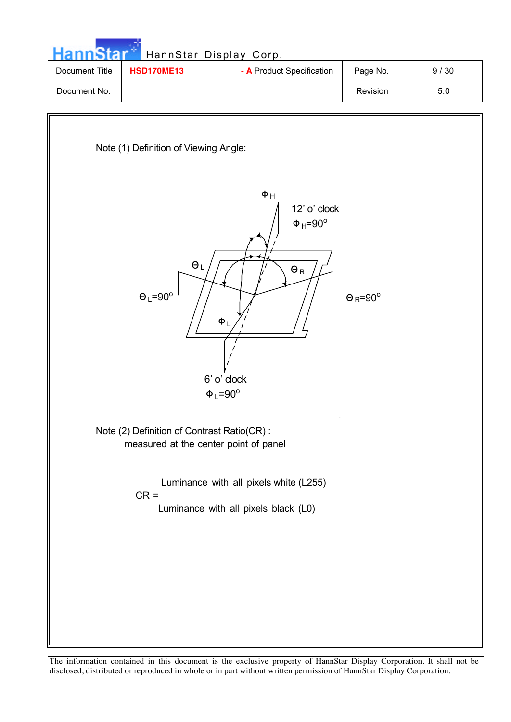| <b>HannStar</b> |                   | HannStar Display Corp.    |          |      |
|-----------------|-------------------|---------------------------|----------|------|
| Document Title  | <b>HSD170ME13</b> | - A Product Specification | Page No. | 9/30 |
| Document No.    |                   |                           | Revision | 5.0  |
|                 |                   |                           |          |      |
|                 |                   |                           |          |      |

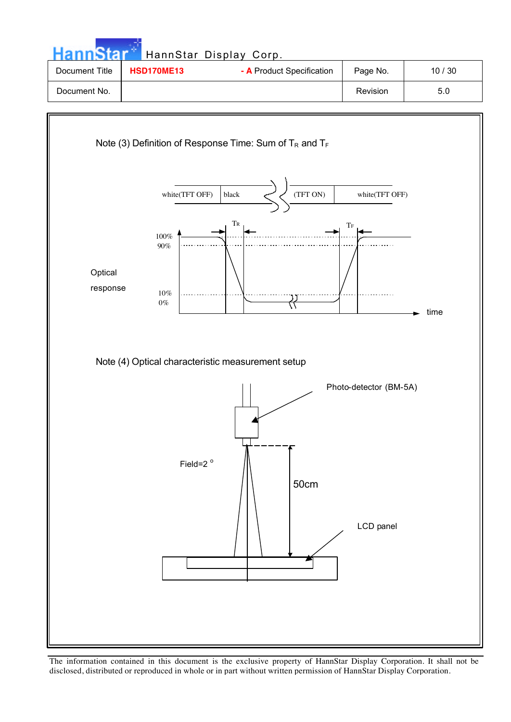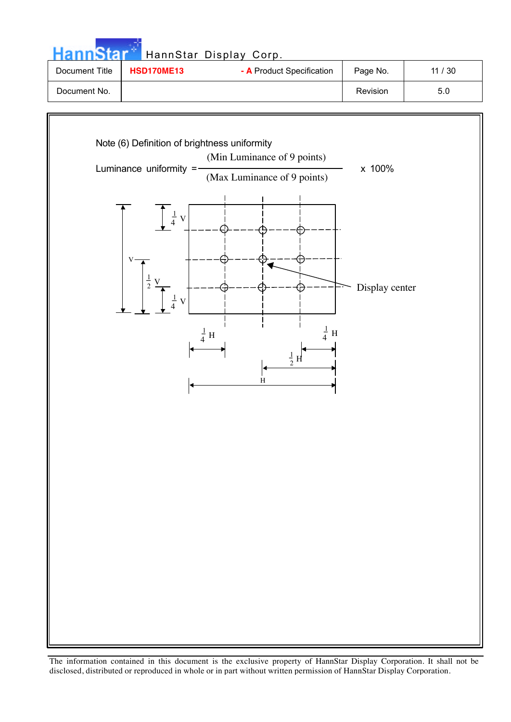| <b>HannStar</b> |                   | HannStar Display Corp.    |          |       |
|-----------------|-------------------|---------------------------|----------|-------|
| Document Title  | <b>HSD170ME13</b> | - A Product Specification | Page No. | 11/30 |
| Document No.    |                   |                           | Revision | 5.0   |
|                 |                   |                           |          |       |

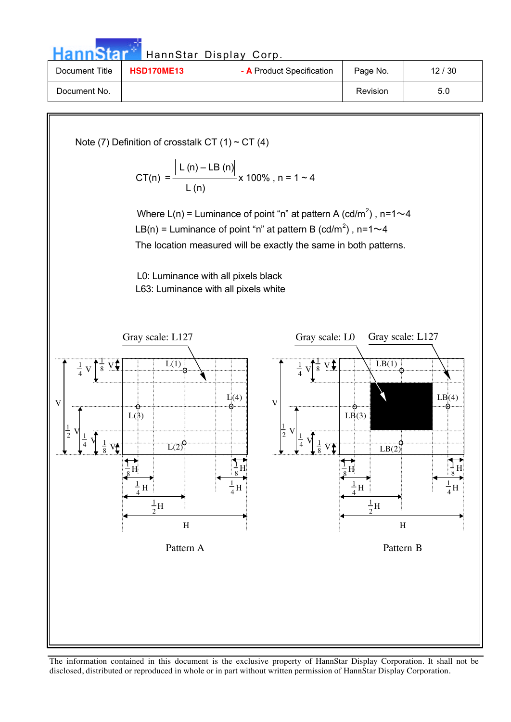|                                                                                            |                                                                                                                                                                 | HannStar Display Corp.                                                                                                                                                                                                                                                                                                          |                                              |                 |
|--------------------------------------------------------------------------------------------|-----------------------------------------------------------------------------------------------------------------------------------------------------------------|---------------------------------------------------------------------------------------------------------------------------------------------------------------------------------------------------------------------------------------------------------------------------------------------------------------------------------|----------------------------------------------|-----------------|
| Document Title                                                                             | <b>HSD170ME13</b>                                                                                                                                               | - A Product Specification                                                                                                                                                                                                                                                                                                       | Page No.                                     | 12/30           |
| Document No.                                                                               |                                                                                                                                                                 |                                                                                                                                                                                                                                                                                                                                 | Revision                                     | 5.0             |
|                                                                                            | Note (7) Definition of crosstalk CT (1) ~ CT (4)<br>L0: Luminance with all pixels black<br>L63: Luminance with all pixels white<br>Gray scale: L127<br>$L(1)$ : | CT(n) = $\frac{ L(n) - LB(n) }{L(n)}$ x 100%, n = 1 ~ 4<br>Where L(n) = Luminance of point "n" at pattern A (cd/m <sup>2</sup> ), n=1 $\sim$ 4<br>LB(n) = Luminance of point "n" at pattern B (cd/m <sup>2</sup> ), n=1 $\sim$ 4<br>The location measured will be exactly the same in both patterns.<br>Gray scale: L0<br>$8\,$ | Gray scale: L127<br>LB(1)                    |                 |
| 8<br>V<br>$\frac{1}{2}$<br>$\frac{1}{4}$<br>$rac{1}{8}$ V <sub><math>\uparrow</math></sub> | $L(\frac{9}{5})$<br>L(2)                                                                                                                                        | $\frac{1}{4}$<br>Li(4)<br>V<br>$\frac{1}{2}$<br>V<br>$\frac{1}{4}$<br>$\frac{1}{8}$<br>ÿŤ                                                                                                                                                                                                                                       | $\overrightarrow{LB}(3)$<br>LB(2)            | LB(4)           |
|                                                                                            | $\frac{1}{4}$ H<br>$\frac{1}{2}\mathbf{H}$<br>$\boldsymbol{\mathrm{H}}$                                                                                         | $\frac{1}{4}$ H                                                                                                                                                                                                                                                                                                                 | $\frac{1}{2}$ H<br>$\frac{1}{2}H$<br>$\rm H$ | $\frac{1}{4}$ H |

Pattern A Pattern B

The information contained in this document is the exclusive property of HannStar Display Corporation. It shall not be disclosed, distributed or reproduced in whole or in part without written permission of HannStar Display Corporation.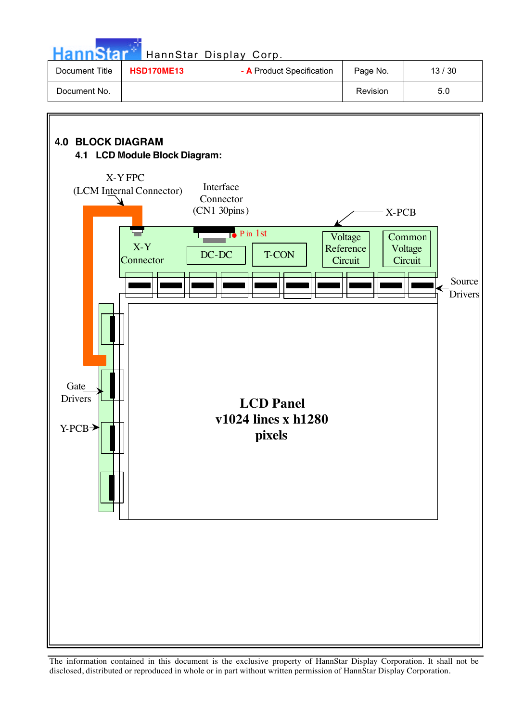

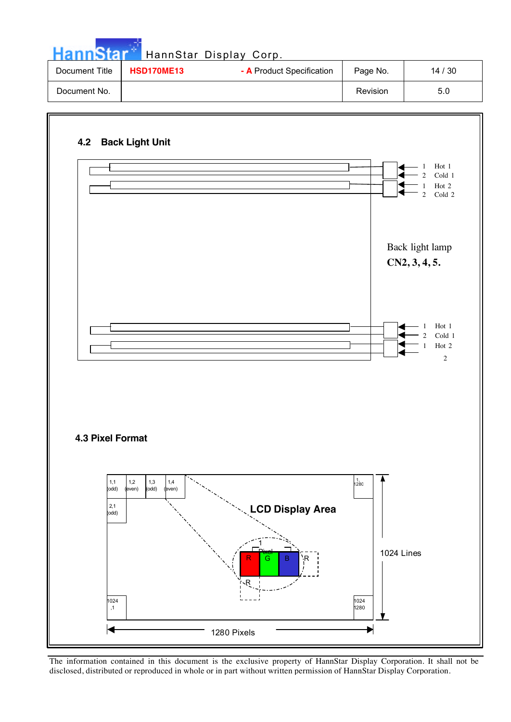| <b>HannStar</b> |                   | HannStar Display Corp.    |          |       |
|-----------------|-------------------|---------------------------|----------|-------|
| Document Title  | <b>HSD170ME13</b> | - A Product Specification | Page No. | 14/30 |
| Document No.    |                   |                           | Revision | 5.0   |

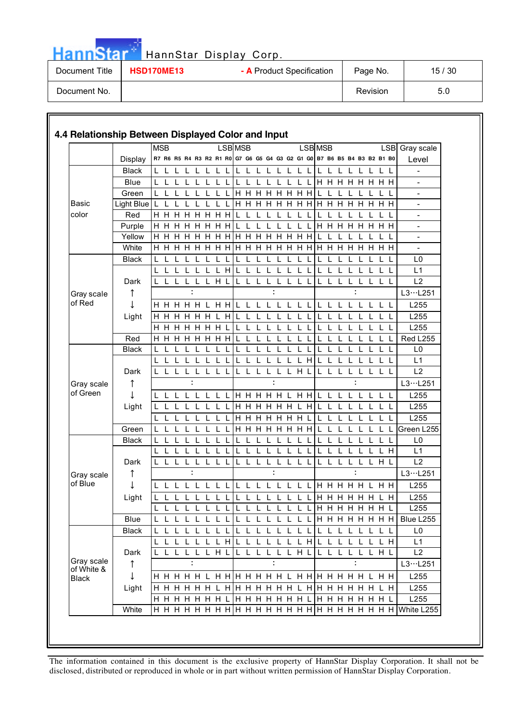| Hannslan       |                   | HannStar Display Corp.    |                 |       |
|----------------|-------------------|---------------------------|-----------------|-------|
| Document Title | <b>HSD170ME13</b> | - A Product Specification | Page No.        | 15/30 |
| Document No.   |                   |                           | <b>Revision</b> | 5.0   |

n ele

|              |              | <b>MSB</b>   |                      |              |              |              |         |              |   | <b>LSB MSB</b> |              |                                                                         |              |              |              |              |              | <b>LSB MSB</b> |                      |   |               |         |              |       |    | LSB Gray scale                                              |
|--------------|--------------|--------------|----------------------|--------------|--------------|--------------|---------|--------------|---|----------------|--------------|-------------------------------------------------------------------------|--------------|--------------|--------------|--------------|--------------|----------------|----------------------|---|---------------|---------|--------------|-------|----|-------------------------------------------------------------|
|              | Display      |              |                      |              |              |              |         |              |   |                |              | R7 R6 R5 R4 R3 R2 R1 R0 G7 G6 G5 G4 G3 G2 G1 G0 B7 B6 B5 B4 B3 B2 B1 B0 |              |              |              |              |              |                |                      |   |               |         |              |       |    | Level                                                       |
|              | <b>Black</b> |              |                      |              |              |              |         |              |   | L              |              | $\mathbf{L}$                                                            |              |              | L            |              |              | L              |                      |   |               |         |              |       |    |                                                             |
|              | Blue         | L            |                      | $\mathbf{I}$ |              |              |         |              |   | $\mathbf{L}$   | $\mathsf{L}$ | $\mathbf{L}$                                                            | $\mathbf{I}$ | $\mathbf{L}$ |              |              | $\mathbf{I}$ |                | <b>H H H H H H H</b> |   |               |         |              |       |    |                                                             |
|              | Green        |              |                      |              |              |              |         |              |   |                |              | <b>H H H H H</b>                                                        |              |              | H H H        |              |              |                |                      |   |               |         |              |       |    |                                                             |
| <b>Basic</b> | Light Blue   | L            |                      |              |              |              |         |              |   |                |              |                                                                         |              |              |              |              |              |                |                      |   |               |         |              |       |    |                                                             |
| color        | Red          |              | H H H H H H H H      |              |              |              |         |              |   |                |              | $\mathbf{L}$                                                            |              |              |              |              |              |                |                      |   |               |         |              |       |    | $\overline{\phantom{a}}$                                    |
|              | Purple       |              | <b>H H H H H H H</b> |              |              |              |         |              |   |                |              |                                                                         |              |              |              |              |              |                | <b>H H H H H H H</b> |   |               |         |              |       |    | $\overline{\phantom{a}}$                                    |
|              | Yellow       |              | н н                  | H            | H            | H H          |         | H            | H | H.             | H            | H H                                                                     |              | H            | H            | H H          |              |                |                      |   |               |         |              |       |    |                                                             |
|              | White        |              | <b>H H H H H</b>     |              |              |              |         |              |   |                |              | <b>HHHHHHHHHHH</b>                                                      |              |              |              |              |              |                |                      |   | <b>HHHHHH</b> |         |              |       |    |                                                             |
|              | <b>Black</b> | L            |                      | $\mathbf{L}$ |              |              |         |              |   | $\mathbf{L}$   |              | $\mathbf{I}$                                                            |              | $\mathbf{I}$ |              |              |              |                |                      |   |               |         | $\mathbf{I}$ | ΕL    |    | L <sub>0</sub>                                              |
|              |              |              |                      |              |              |              |         |              | H |                |              |                                                                         |              |              |              |              |              |                |                      |   |               |         |              |       |    | L1                                                          |
|              | Dark         |              | $\mathbf{I}$         | L L          |              | LLHL         |         |              |   |                | L L          | - L                                                                     | L            | L            | LLL          |              |              | L              |                      | L | L             | L L L L |              |       |    | L2                                                          |
| Gray scale   | ↑            |              |                      |              |              |              |         |              |   |                |              |                                                                         |              |              |              |              |              |                |                      |   |               |         |              |       |    | L3L251                                                      |
| of Red       | T            |              | H H H H H L H H      |              |              |              |         |              |   |                |              | $\mathbf{1}$ $\mathbf{1}$ $\mathbf{1}$                                  | $\mathbf{L}$ |              | 1 1 1 1      |              |              | $\mathbf{L}$   | $\mathbf{I}$         |   | $\mathbf{L}$  |         |              | L L L |    | L255                                                        |
|              | Light        |              | HHHHHH               |              |              |              |         |              | H |                |              |                                                                         |              |              |              |              |              |                |                      |   |               |         |              |       |    | L255                                                        |
|              |              |              | <b>H H H H H H</b>   |              |              |              |         |              |   |                |              |                                                                         |              |              |              |              |              |                |                      |   |               |         |              |       |    | L255                                                        |
|              | Red          |              |                      |              |              |              |         |              |   |                |              |                                                                         |              |              |              |              |              |                |                      |   |               |         |              |       |    | Red L255                                                    |
|              | <b>Black</b> | L            |                      |              |              |              |         |              |   |                |              |                                                                         |              |              |              |              |              |                |                      |   |               |         |              |       | L  | L <sub>0</sub>                                              |
|              |              | L            |                      |              |              |              |         |              |   |                |              |                                                                         |              |              |              |              | H.           |                |                      |   |               |         |              |       |    | L1                                                          |
|              | Dark         |              |                      | L            | $\mathsf{L}$ | $\mathbf{L}$ | L       | L            |   | L.             | L            | L                                                                       | $\mathsf{L}$ | L            | L H L        |              |              | L              |                      |   | L             |         | L            | L L   |    | L2                                                          |
| Gray scale   | ↑            |              |                      |              |              |              |         |              |   |                |              |                                                                         |              |              |              |              |              |                |                      |   |               |         |              |       |    | L3L251                                                      |
| of Green     |              |              | L L L                |              |              |              |         |              |   |                |              | L L L H H H H H L H H                                                   |              |              |              |              |              | L              |                      |   | $\mathsf{L}$  | L L L L |              |       |    | L255                                                        |
|              | Light        |              |                      |              |              |              |         |              |   |                |              | <b>HHHHHH</b>                                                           |              |              |              |              | H            |                |                      |   |               |         |              |       |    | L255                                                        |
|              |              |              |                      |              |              |              |         |              |   |                |              | <b>HHHHHH</b>                                                           |              |              |              |              |              |                |                      |   |               |         |              |       |    | L255                                                        |
|              | Green        |              |                      | $\mathbf{L}$ |              |              |         |              |   |                |              | <b>HHHHHHH</b>                                                          |              |              |              |              |              |                |                      |   |               |         |              |       | L  | Green L255                                                  |
|              | <b>Black</b> |              |                      |              |              |              |         |              |   |                |              |                                                                         |              |              |              |              |              |                |                      |   |               |         |              |       | -L | L0                                                          |
|              |              |              |                      |              |              |              |         |              |   |                |              |                                                                         |              |              |              |              |              |                |                      |   |               |         |              | L H   |    | L1                                                          |
|              | Dark         |              |                      | L L L        |              |              | $\perp$ | $\mathbf{L}$ |   | $\mathbf{L}$   | $\mathbf{L}$ | $\mathbf{L}$                                                            | $\mathbf{L}$ | $\mathbf{L}$ |              | $\mathbf{1}$ |              |                | $\mathbf{I}$         | L |               | LLLHL   |              |       |    | L2                                                          |
| Gray scale   | ↑            |              |                      |              |              |              |         |              |   |                |              |                                                                         |              |              |              |              |              |                |                      |   |               |         |              |       |    | L3L251                                                      |
| of Blue      | ↓            |              | L L L L L L L L      |              |              |              |         |              |   |                |              | L L L L L L L L H H H H H L H H                                         |              |              |              |              |              |                |                      |   |               |         |              |       |    | L255                                                        |
|              | Light        |              |                      | L L          |              |              |         |              |   | L              |              | $\mathsf{L}$                                                            |              |              |              |              |              |                | <b>H H H H H</b>     |   |               |         |              | L H   |    | L255                                                        |
|              |              | L            | L L L L L L          |              |              |              |         |              | L |                |              | L L L L L L L L                                                         |              |              |              |              |              |                |                      |   |               |         |              |       |    | L255                                                        |
|              | Blue         |              |                      |              |              |              |         |              |   |                |              |                                                                         |              |              |              |              |              |                |                      |   |               |         |              |       |    | L L L L L L L L L L L L L L L L L H H H H H H H H Blue L255 |
|              | <b>Black</b> | $\mathbf{L}$ |                      |              |              |              |         |              |   | $\mathsf{L}$   | $\mathsf{L}$ | $\mathbf{L}$                                                            | $\mathbf{1}$ |              | $\mathbf{L}$ |              |              | L              |                      |   |               |         |              |       |    | L <sub>0</sub>                                              |
|              |              |              |                      |              |              |              |         |              |   |                |              | L L L L L L L H L L L L L L L L H L L L L L L L H                       |              |              |              |              |              |                |                      |   |               |         |              |       |    | L1                                                          |
|              | Dark         |              | L L L L L H L        |              |              |              |         |              |   |                |              | L L L L L L H L                                                         |              |              |              |              |              |                | LLLLLLHL             |   |               |         |              |       |    | L2                                                          |
| Gray scale   | ↑            |              |                      |              |              |              |         |              |   |                |              |                                                                         |              |              |              |              |              |                |                      |   |               |         |              |       |    | L3L251                                                      |
| of White &   |              |              |                      |              |              |              |         |              |   |                |              |                                                                         |              |              |              |              |              |                |                      |   |               |         |              |       |    |                                                             |
| <b>Black</b> |              |              |                      |              |              |              |         |              |   |                |              |                                                                         |              |              |              |              |              |                |                      |   |               |         |              |       |    | L255                                                        |
|              | Light        |              |                      |              |              |              |         |              |   |                |              |                                                                         |              |              |              |              |              |                |                      |   |               |         |              |       |    | L255                                                        |
|              | White        |              |                      |              |              |              |         |              |   |                |              |                                                                         |              |              |              |              |              |                |                      |   |               |         |              |       |    | L255                                                        |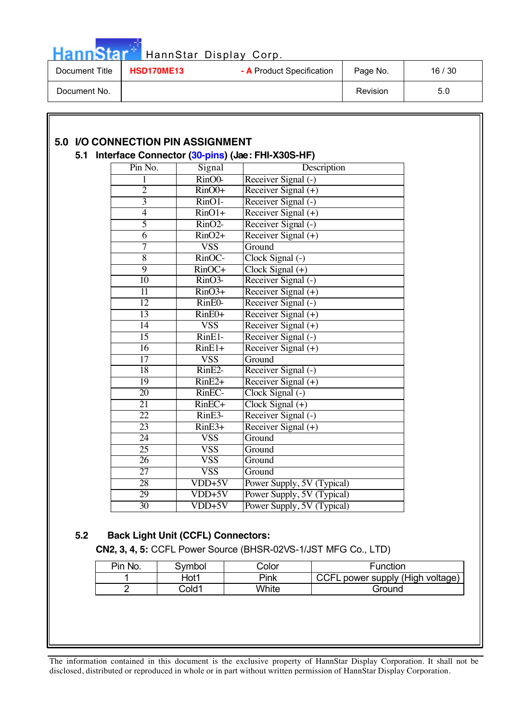| <b>HannStar</b> |  |  |
|-----------------|--|--|
|                 |  |  |

# HannStar Display Corp.

| Document Title | <b>HSD170ME13</b> | - A Product Specification | Page No. | ' 30<br>16/ |
|----------------|-------------------|---------------------------|----------|-------------|
| Document No.   |                   |                           | Revision | 5.0         |

|                 |                            | 5.1 Interface Connector (30-pins) (Jae: FHI-X30S-HF) |  |
|-----------------|----------------------------|------------------------------------------------------|--|
| Pin No.         | Signal                     | Description                                          |  |
| 1               | RinO0-                     | Receiver Signal (-)                                  |  |
| $\overline{2}$  | $\overline{\text{RinO0+}}$ | Receiver Signal $(+)$                                |  |
| $\overline{3}$  | $\overline{\text{RinO1}}$  | Receiver Signal (-)                                  |  |
| $\overline{4}$  | $\overline{\text{RinO1+}}$ | Receiver Signal (+)                                  |  |
| $\overline{5}$  | $\overline{\text{RinO2}}$  | Receiver Signal (-)                                  |  |
| $\overline{6}$  | $\overline{\text{RinO2+}}$ | Receiver Signal $(+)$                                |  |
| 7               | <b>VSS</b>                 | Ground                                               |  |
| $\overline{8}$  | $\overline{\text{RinOC}}$  | Clock Signal (-)                                     |  |
| $\overline{9}$  | $RinOC+$                   | $Clock Signal (+)$                                   |  |
| 10              | $\overline{\text{RinO3}}$  | Receiver Signal (-)                                  |  |
| 11              | $\overline{\text{RinO3+}}$ | Receiver Signal $(+)$                                |  |
| 12              | RinE0-                     | Receiver Signal (-)                                  |  |
| 13              | $RinE0+$                   | Receiver Signal $(+)$                                |  |
| $\overline{14}$ | <b>VSS</b>                 | Receiver Signal (+)                                  |  |
| $\overline{15}$ | $RinE1-$                   | Receiver Signal (-)                                  |  |
| $\overline{16}$ | $RinE1+$                   | Receiver Signal $(+)$                                |  |
| $\overline{17}$ | <b>VSS</b>                 | Ground                                               |  |
| 18              | $RinE2-$                   | Receiver Signal (-)                                  |  |
| 19              | $RinE2+$                   | Receiver Signal (+)                                  |  |
| 20              | RinEC-                     | Clock Signal (-)                                     |  |
| $\overline{21}$ | $RinEC+$                   | $Clock Signal (+)$                                   |  |
| $\overline{22}$ | $RinE3-$                   | Receiver Signal (-)                                  |  |
| 23              | $RinE3+$                   | Receiver Signal (+)                                  |  |
| 24              | <b>VSS</b>                 | Ground                                               |  |
| 25              | <b>VSS</b>                 | Ground                                               |  |
| $\overline{26}$ | <b>VSS</b>                 | Ground                                               |  |
| $\overline{27}$ | $\overline{\text{VSS}}$    | Ground                                               |  |
| 28              | $VDD+5V$                   | Power Supply, 5V (Typical)                           |  |
| 29              | $VDD+5V$                   | Power Supply, 5V (Typical)                           |  |
| 30              | $VDD+5V$                   | Power Supply, 5V (Typical)                           |  |

### **5.2 Back Light Unit (CCFL) Connectors:**

**CN2, 3, 4, 5:** CCFL Power Source (BHSR-02VS-1/JST MFG Co., LTD)

| Pin No. | Symbol | Color | Function                      |
|---------|--------|-------|-------------------------------|
|         | Hot1   | Pink  | . power supply (High voltage) |
|         | Cold1  | White | Ground                        |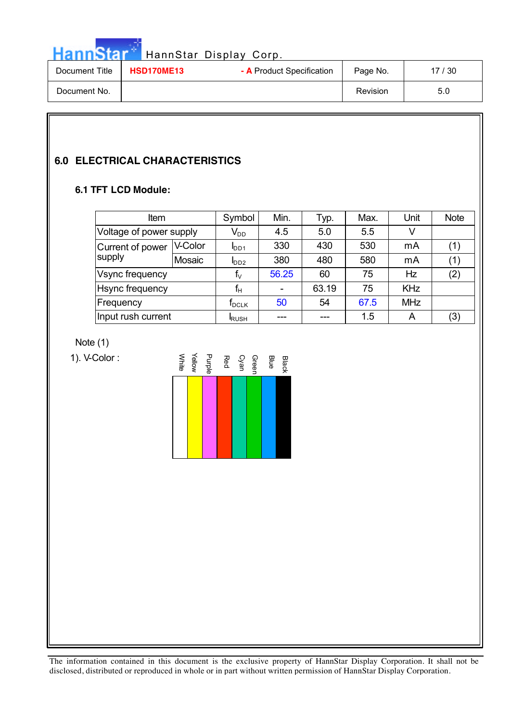HannStar<sup>d</sup> HannStar Display Corp.

| Document Title | <b>HSD170ME13</b> | - A Product Specification | Page No. | 17 / 30 |
|----------------|-------------------|---------------------------|----------|---------|
| Document No.   |                   |                           | Revision | 5.0     |

## **6.0 ELECTRICAL CHARACTERISTICS**

### **6.1 TFT LCD Module:**

| <b>Item</b>             |         | Symbol                       | Min.           | Typ.  | Max. | Unit       | <b>Note</b> |
|-------------------------|---------|------------------------------|----------------|-------|------|------------|-------------|
| Voltage of power supply |         | $V_{DD}$                     | 4.5            | 5.0   | 5.5  | V          |             |
| Current of power        | V-Color | I <sub>DD1</sub>             | 330            | 430   | 530  | mA         | (1)         |
| supply                  | Mosaic  | $I_{DD2}$                    | 380            | 480   | 580  | mA         | (1)         |
| Vsync frequency         |         | $\mathsf{f}_{\vee}$          | 56.25          | 60    | 75   | Hz         | (2)         |
| <b>Hsync frequency</b>  |         | $f_H$                        | $\blacksquare$ | 63.19 | 75   | <b>KHz</b> |             |
| Frequency               |         | $\mathsf{f}_{\mathsf{DCLK}}$ | 50             | 54    | 67.5 | <b>MHz</b> |             |
| Input rush current      |         | <b>RUSH</b>                  |                | ---   | 1.5  | A          | (3)         |

Note (1)

1). V-Color :

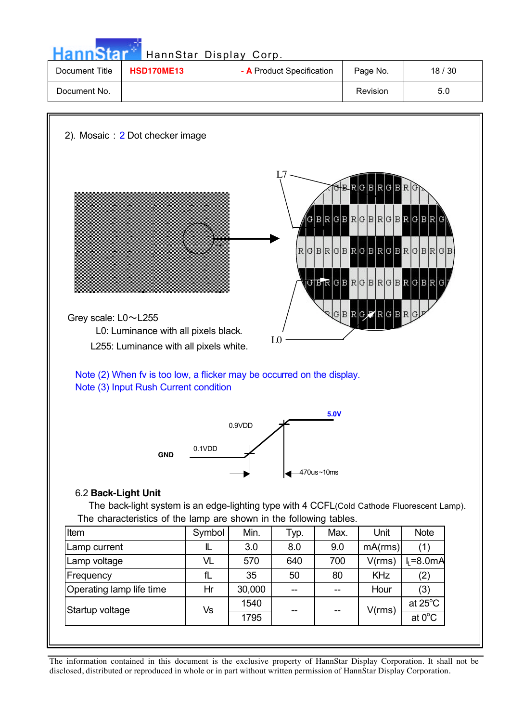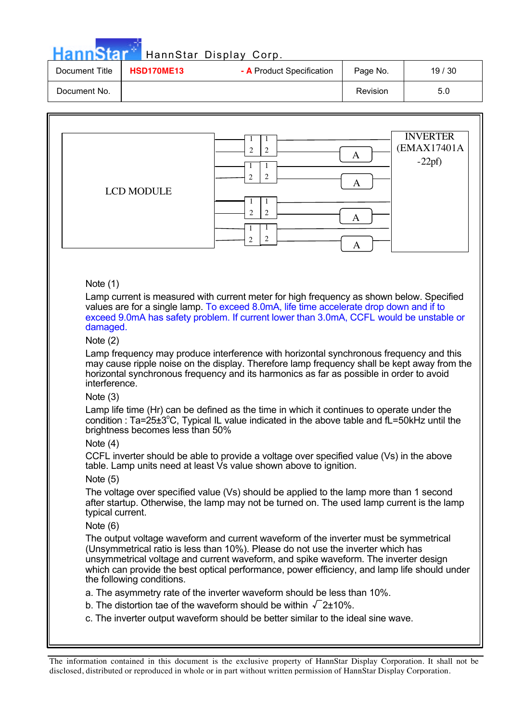| HannStar <sup>*</sup> |            | HannStar Display Corp.    |                 |       |
|-----------------------|------------|---------------------------|-----------------|-------|
| Document Title        | HSD170ME13 | - A Product Specification | Page No.        | 19/30 |
| Document No.          |            |                           | <b>Revision</b> | 5.0   |

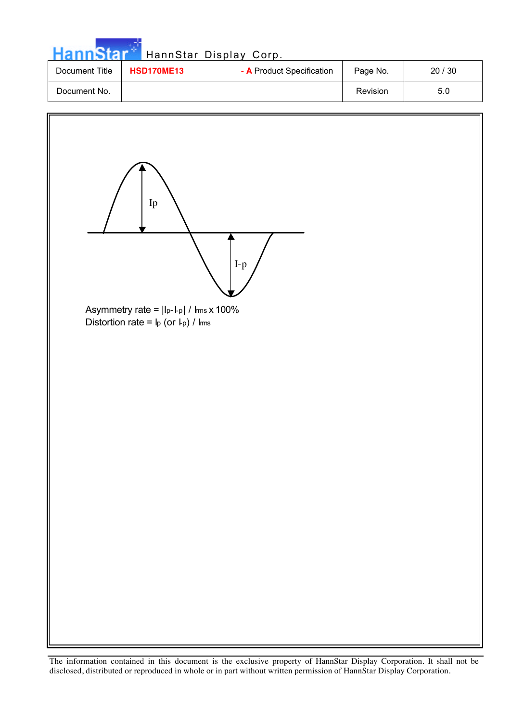| <b>HannStar</b> |                                                | HannStar Display Corp. |          |       |
|-----------------|------------------------------------------------|------------------------|----------|-------|
| Document Title  | - A Product Specification<br><b>HSD170ME13</b> |                        | Page No. | 20/30 |
| Document No.    |                                                |                        | Revision | 5.0   |

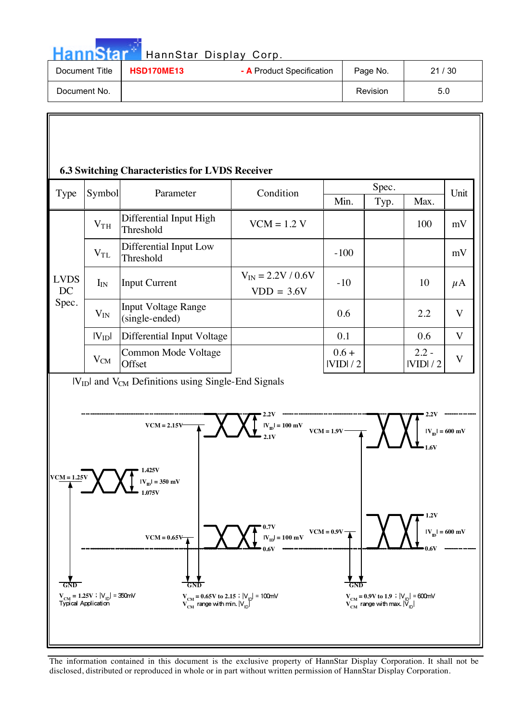Hann Star<sup>t H</sup>annStar Display Corp.

| Document Title | <b>HSD170ME13</b> | - A Product Specification | Page No. | 21/30 |
|----------------|-------------------|---------------------------|----------|-------|
| Document No.   |                   |                           | Revision | 5.0   |

### **6.3 Switching Characteristics for LVDS Receiver**

| <b>Type</b>       | Symbol          | Parameter                                    | Condition                                | Spec.              |      |                    | Unit                    |
|-------------------|-----------------|----------------------------------------------|------------------------------------------|--------------------|------|--------------------|-------------------------|
|                   |                 |                                              |                                          | Min.               | Typ. | Max.               |                         |
|                   | V <sub>TH</sub> | Differential Input High<br>Threshold         | $VCM = 1.2 V$                            |                    |      | 100                | mV                      |
|                   | $V_{TL}$        | Differential Input Low<br>Threshold          |                                          | $-100$             |      |                    | mV                      |
| <b>LVDS</b><br>DC | $I_{IN}$        | <b>Input Current</b>                         | $V_{IN} = 2.2 V / 0.6 V$<br>$VDD = 3.6V$ | $-10$              |      | 10                 | $\mu$ A                 |
| Spec.             | $V_{IN}$        | <b>Input Voltage Range</b><br>(single-ended) |                                          | 0.6                |      | 2.2                | $\overline{\mathbf{V}}$ |
|                   | $ V_{ID} $      | Differential Input Voltage                   |                                          | 0.1                |      | 0.6                | V                       |
|                   | $V_{CM}$        | Common Mode Voltage<br>Offset                |                                          | $0.6 +$<br>IVIDI/2 |      | $2.2 -$<br>IVIDI/2 | $\overline{\mathbf{V}}$ |

 $|V_{ID}|$  and  $V_{CM}$  Definitions using Single-End Signals

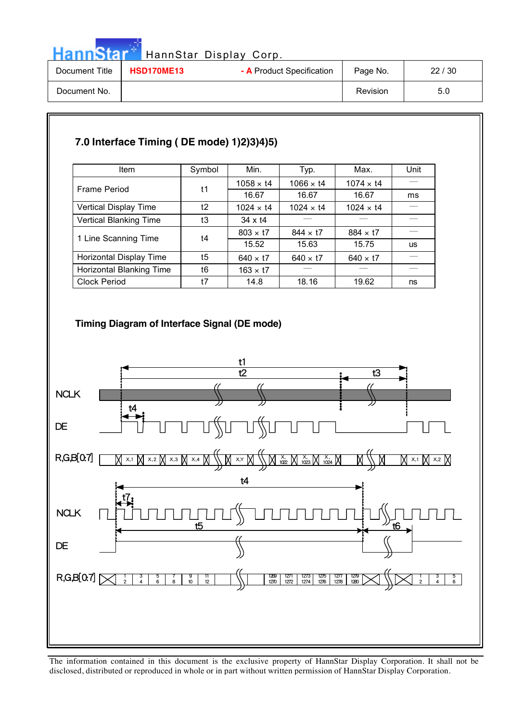| HannStar Display Corp. |  |
|------------------------|--|
|                        |  |

| <b>HannStar</b> |                   | HannStar Display Corp.    |          |       |
|-----------------|-------------------|---------------------------|----------|-------|
| Document Title  | <b>HSD170ME13</b> | - A Product Specification | Page No. | 22/30 |
| Document No.    |                   |                           | Revision | 5.0   |

# **7.0 Interface Timing ( DE mode) 1)2)3)4)5)**

| <b>Item</b>                     | Symbol | Min.             | Typ.             | Max.             | Unit      |
|---------------------------------|--------|------------------|------------------|------------------|-----------|
|                                 |        | $1058 \times 14$ | $1066 \times 14$ | $1074 \times 14$ |           |
| <b>Frame Period</b>             | t1     | 16.67            | 16.67            | 16.67            | ms        |
| Vertical Display Time           | t2     | $1024 \times 14$ | $1024 \times 14$ | $1024 \times 14$ |           |
| <b>Vertical Blanking Time</b>   | t3     | $34 \times 14$   |                  |                  |           |
|                                 | t4     | $803 \times 17$  | $844 \times 17$  | $884 \times 17$  |           |
| 1 Line Scanning Time            |        | 15.52            | 15.63            | 15.75            | <b>us</b> |
| Horizontal Display Time         | t5     | $640 \times 17$  | $640 \times 17$  | $640 \times 17$  |           |
| <b>Horizontal Blanking Time</b> | t6     | $163 \times 17$  |                  |                  |           |
| <b>Clock Period</b>             | t7     | 14.8             | 18.16            | 19.62            | ns        |

### **Timing Diagram of Interface Signal (DE mode)**

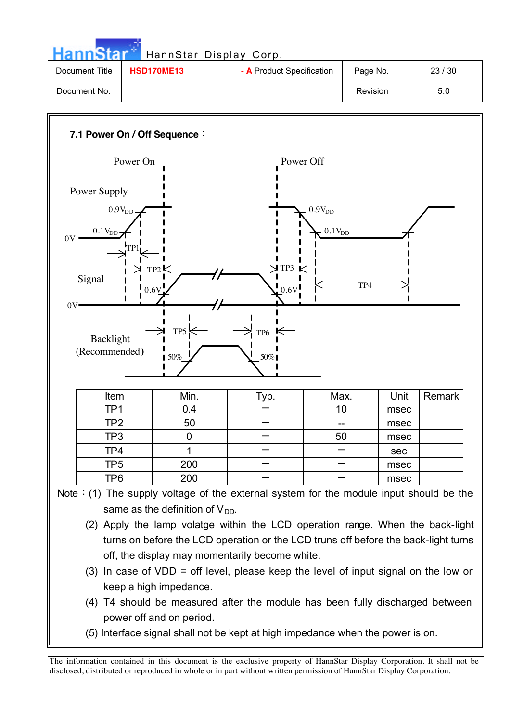| <b>HannStar</b> |                                                | HannStar Display Corp. |          |       |
|-----------------|------------------------------------------------|------------------------|----------|-------|
| Document Title  | - A Product Specification<br><b>HSD170ME13</b> |                        | Page No. | 23/30 |
| Document No.    |                                                |                        | Revision | 5.0   |



- (3) In case of VDD = off level, please keep the level of input signal on the low or keep a high impedance.
- (4) T4 should be measured after the module has been fully discharged between power off and on period.
- (5) Interface signal shall not be kept at high impedance when the power is on.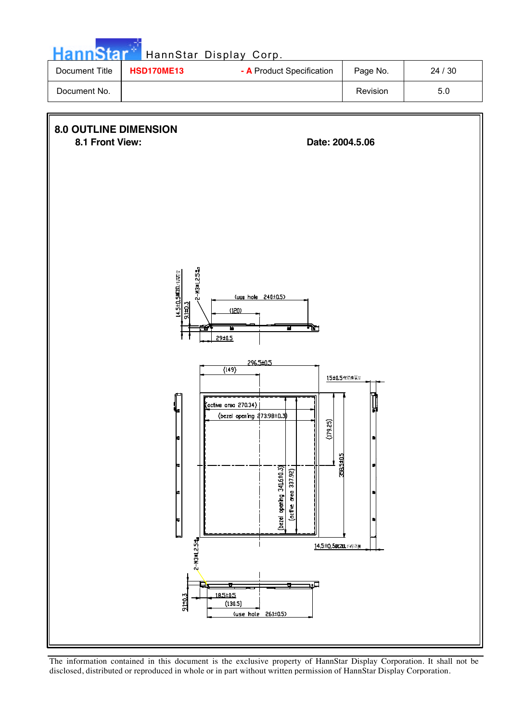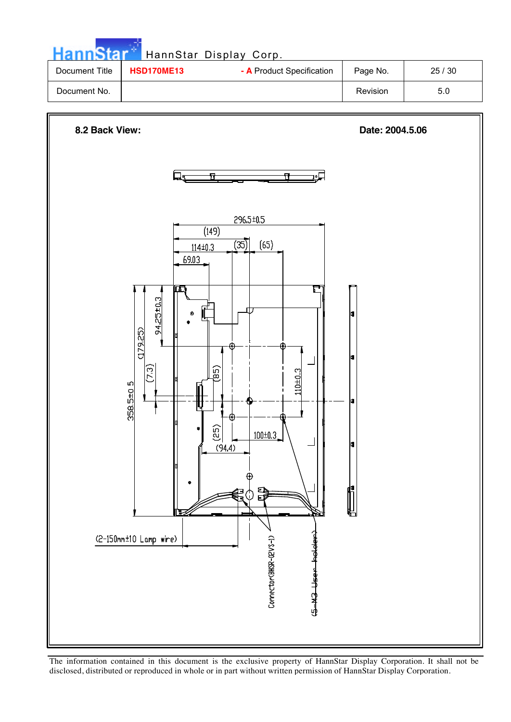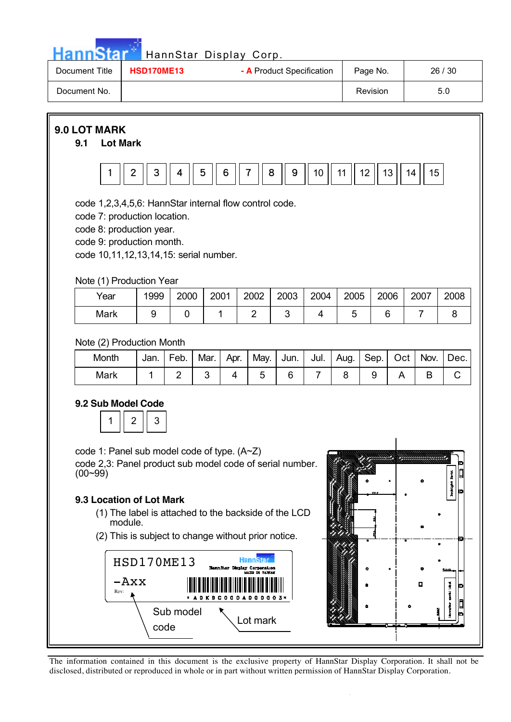| HannStar<br>Document Title                                                                                                                                                                                                                                                                                                                                                                                                                                       | <b>HSD170ME13</b>   |                        |                        | HannStar Display Corp. | - A Product Specification |                        |           | Page No.  |          |                | 26 / 30   |
|------------------------------------------------------------------------------------------------------------------------------------------------------------------------------------------------------------------------------------------------------------------------------------------------------------------------------------------------------------------------------------------------------------------------------------------------------------------|---------------------|------------------------|------------------------|------------------------|---------------------------|------------------------|-----------|-----------|----------|----------------|-----------|
| Document No.                                                                                                                                                                                                                                                                                                                                                                                                                                                     |                     |                        |                        |                        |                           |                        |           | Revision  |          |                | 5.0       |
| 9.0 LOT MARK<br>9.1<br><b>Lot Mark</b><br>code 1,2,3,4,5,6: HannStar internal flow control code.<br>code 7: production location.<br>code 8: production year.<br>code 9: production month.<br>code 10,11,12,13,14,15: serial number.                                                                                                                                                                                                                              | $\overline{2}$<br>3 | 4                      | 5<br>6                 | 7                      | 8<br>9                    | 10                     | 11        | 12        | 13       | 15<br>14       |           |
| Note (1) Production Year<br>Year                                                                                                                                                                                                                                                                                                                                                                                                                                 | 1999                | 2000                   | 2001                   | 2002                   | 2003                      | 2004                   | 2005      |           | 2006     | 2007           | 2008      |
| Mark                                                                                                                                                                                                                                                                                                                                                                                                                                                             | 9                   | $\mathbf 0$            | 1                      | $\overline{2}$         | 3                         | $\overline{4}$         | 5         |           | 6        | $\overline{7}$ | 8         |
| Note (2) Production Month<br>Month<br><b>Mark</b>                                                                                                                                                                                                                                                                                                                                                                                                                | Jan.<br>1           | Feb.<br>$\overline{2}$ | Mar.<br>Apr.<br>3<br>4 | May.<br>5              | Jun.<br>6                 | Jul.<br>$\overline{7}$ | Aug.<br>8 | Sep.<br>9 | Oct<br>A | Nov.<br>B      | Dec.<br>C |
| <b>9.2 Sub Model Code</b><br>2<br>3<br>code 1: Panel sub model code of type. (A~Z)<br>code 2,3: Panel product sub model code of serial number.<br>$(00 - 99)$<br>š<br>9.3 Location of Lot Mark<br>(1) The label is attached to the backside of the LCD<br>module.<br>(2) This is subject to change without prior notice.<br><b>HSD170ME13</b><br>HannStar Display Corporation<br>5019<br>$-AXX$<br>α<br>j<br>Rev:<br><b>CDA</b><br>Sub model<br>Lot mark<br>code |                     |                        |                        |                        |                           |                        |           |           |          |                |           |

 $\frac{1}{2}$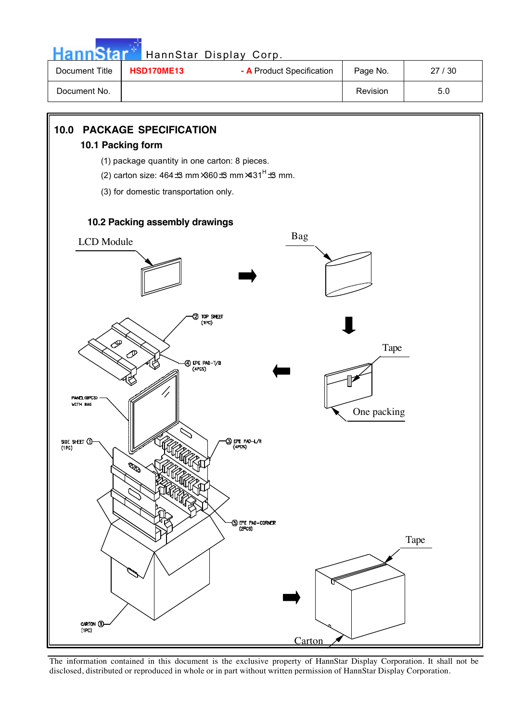| <b>HannStar</b> * |                   | HannStar Display Corp.    |          |       |
|-------------------|-------------------|---------------------------|----------|-------|
| Document Title    | <b>HSD170ME13</b> | - A Product Specification | Page No. | 27/30 |
| Document No.      |                   |                           | Revision | 5.0   |



The information contained in this document is the exclusive property of HannStar Display Corporation. It shall not be disclosed, distributed or reproduced in whole or in part without written permission of HannStar Display Corporation.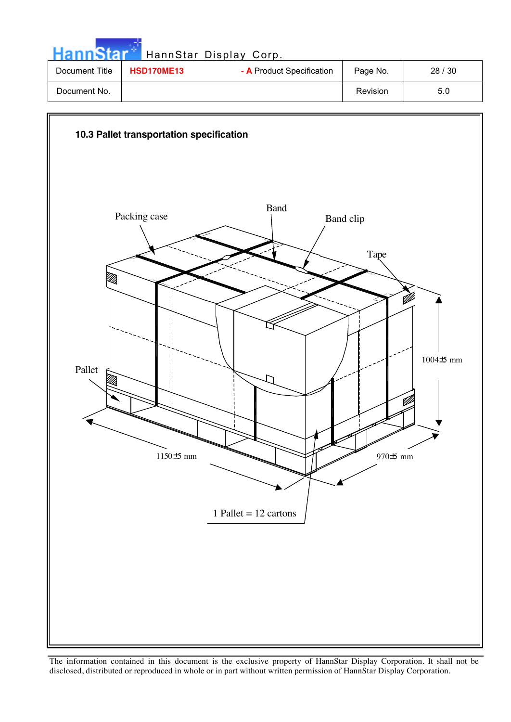| <b>HannStar</b> |                   | HannStar Display Corp.    |          |       |
|-----------------|-------------------|---------------------------|----------|-------|
| Document Title  | <b>HSD170ME13</b> | - A Product Specification | Page No. | 28/30 |
| Document No.    |                   |                           | Revision | 5.0   |

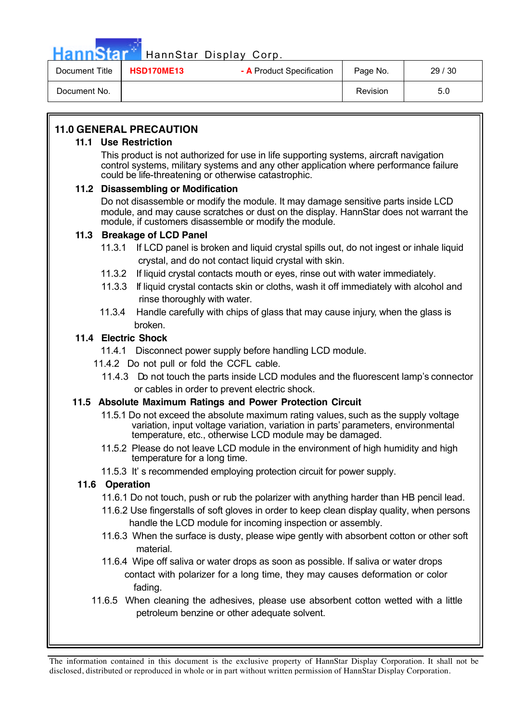HannStar<sup>®</sup> HannStar Display Corp.

| Document Title | <b>HSD170ME13</b> | - A Product Specification | Page No. | 29/30 |
|----------------|-------------------|---------------------------|----------|-------|
| Document No.   |                   |                           | Revision | 5.0   |

### **11.0 GENERAL PRECAUTION**

#### **11.1 Use Restriction**

This product is not authorized for use in life supporting systems, aircraft navigation control systems, military systems and any other application where performance failure could be life-threatening or otherwise catastrophic.

### **11.2 Disassembling or Modification**

Do not disassemble or modify the module. It may damage sensitive parts inside LCD module, and may cause scratches or dust on the display. HannStar does not warrant the module, if customers disassemble or modify the module.

### **11.3 Breakage of LCD Panel**

- 11.3.1 If LCD panel is broken and liquid crystal spills out, do not ingest or inhale liquid crystal, and do not contact liquid crystal with skin.
- 11.3.2 If liquid crystal contacts mouth or eyes, rinse out with water immediately.
- 11.3.3 If liquid crystal contacts skin or cloths, wash it off immediately with alcohol and rinse thoroughly with water.
- 11.3.4 Handle carefully with chips of glass that may cause injury, when the glass is broken.

### **11.4 Electric Shock**

- 11.4.1 Disconnect power supply before handling LCD module.
- 11.4.2 Do not pull or fold the CCFL cable.
	- 11.4.3 Do not touch the parts inside LCD modules and the fluorescent lamp's connector or cables in order to prevent electric shock.

### **11.5 Absolute Maximum Ratings and Power Protection Circuit**

- 11.5.1 Do not exceed the absolute maximum rating values, such as the supply voltage variation, input voltage variation, variation in parts' parameters, environmental temperature, etc., otherwise LCD module may be damaged.
- 11.5.2 Please do not leave LCD module in the environment of high humidity and high temperature for a long time.
- 11.5.3 It' s recommended employing protection circuit for power supply.

### **11.6 Operation**

- 11.6.1 Do not touch, push or rub the polarizer with anything harder than HB pencil lead.
- 11.6.2 Use fingerstalls of soft gloves in order to keep clean display quality, when persons handle the LCD module for incoming inspection or assembly.
- 11.6.3 When the surface is dusty, please wipe gently with absorbent cotton or other soft material.
- 11.6.4 Wipe off saliva or water drops as soon as possible. If saliva or water drops contact with polarizer for a long time, they may causes deformation or color fading.
- 11.6.5 When cleaning the adhesives, please use absorbent cotton wetted with a little petroleum benzine or other adequate solvent.